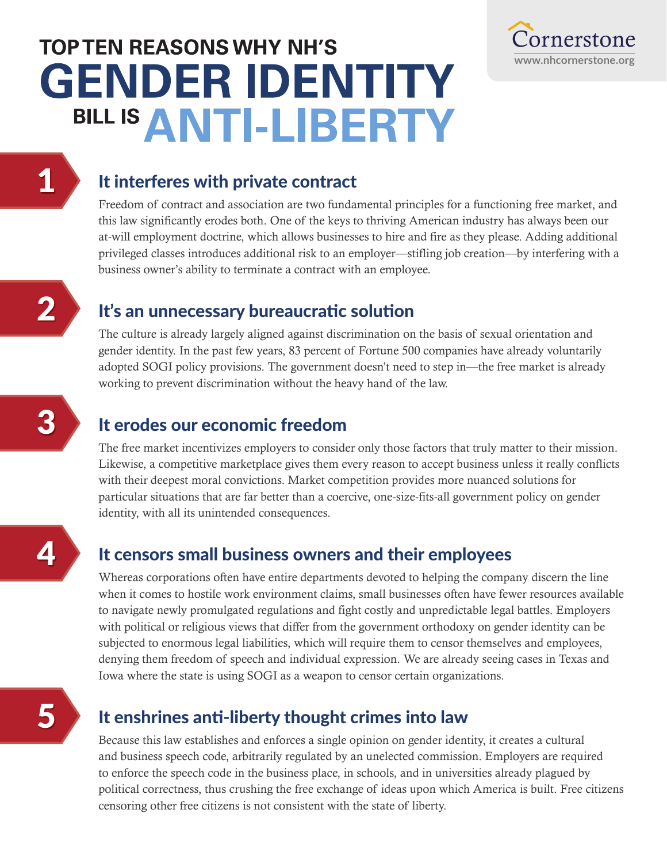# **TOP TEN REASONS WHY NH'S GENDER IDENTITY** BILL IS ANTI-LIBERTY



#### It interferes with private contract

Freedom of contract and association are two fundamental principles for a functioning free market, and this law significantly erodes both. One of the keys to thriving American industry has always been our at-will employment doctrine, which allows businesses to hire and fire as they please. Adding additional privileged classes introduces additional risk to an employer—stifling job creation—by interfering with a business owner's ability to terminate a contract with an employee.

#### It's an unnecessary bureaucratic solution

The culture is already largely aligned against discrimination on the basis of sexual orientation and gender identity. In the past few years, 83 percent of Fortune 500 companies have already voluntarily adopted SOGI policy provisions. The government doesn't need to step in—the free market is already working to prevent discrimination without the heavy hand of the law.

# It erodes our economic freedom

The free market incentivizes employers to consider only those factors that truly matter to their mission. Likewise, a competitive marketplace gives them every reason to accept business unless it really conflicts with their deepest moral convictions. Market competition provides more nuanced solutions for particular situations that are far better than a coercive, one-size-fits-all government policy on gender identity, with all its unintended consequences.

# It censors small business owners and their employees

Whereas corporations often have entire departments devoted to helping the company discern the line when it comes to hostile work environment claims, small businesses often have fewer resources available to navigate newly promulgated regulations and fight costly and unpredictable legal battles. Employers with political or religious views that differ from the government orthodoxy on gender identity can be subjected to enormous legal liabilities, which will require them to censor themselves and employees, denying them freedom of speech and individual expression. We are already seeing cases in Texas and Iowa where the state is using SOGI as a weapon to censor certain organizations.

# It enshrines anti-liberty thought crimes into law

Because this law establishes and enforces a single opinion on gender identity, it creates a cultural and business speech code, arbitrarily regulated by an unelected commission. Employers are required to enforce the speech code in the business place, in schools, and in universities already plagued by political correctness, thus crushing the free exchange of ideas upon which America is built. Free citizens censoring other free citizens is not consistent with the state of liberty.

3

4

2